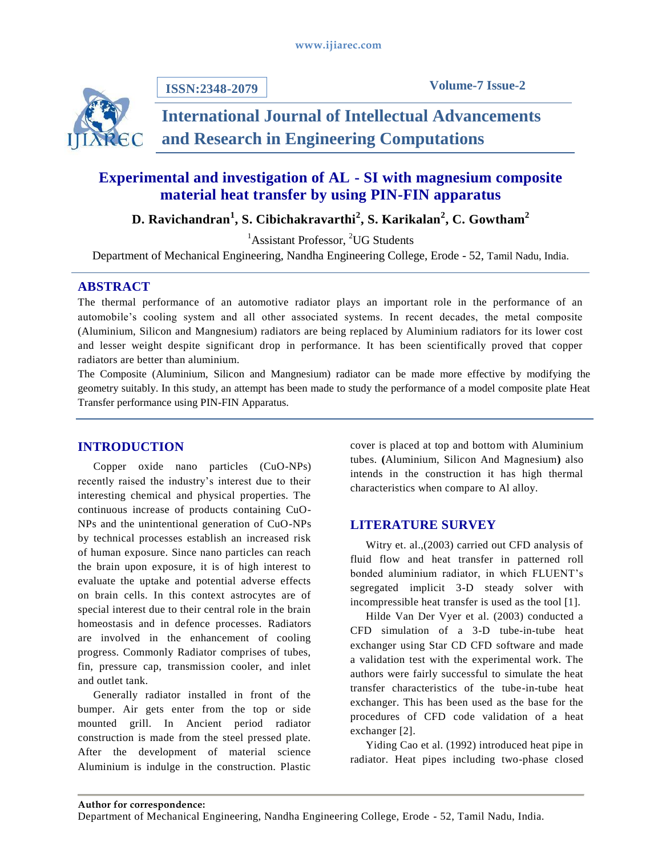

**ISSN:2348-2079**

# **International Journal of Intellectual Advancements and Research in Engineering Computations**

## **Experimental and investigation of AL - SI with magnesium composite material heat transfer by using PIN-FIN apparatus**

**D. Ravichandran<sup>1</sup> , S. Cibichakravarthi<sup>2</sup> , S. Karikalan<sup>2</sup> , C. Gowtham<sup>2</sup>**

<sup>1</sup>Assistant Professor, <sup>2</sup>UG Students

Department of Mechanical Engineering, Nandha Engineering College, Erode - 52, Tamil Nadu, India.

## **ABSTRACT**

The thermal performance of an automotive radiator plays an important role in the performance of an automobile's cooling system and all other associated systems. In recent decades, the metal composite (Aluminium, Silicon and Mangnesium) radiators are being replaced by Aluminium radiators for its lower cost and lesser weight despite significant drop in performance. It has been scientifically proved that copper radiators are better than aluminium.

The Composite (Aluminium, Silicon and Mangnesium) radiator can be made more effective by modifying the geometry suitably. In this study, an attempt has been made to study the performance of a model composite plate Heat Transfer performance using PIN-FIN Apparatus.

## **INTRODUCTION**

Copper oxide nano particles (CuO-NPs) recently raised the industry's interest due to their interesting chemical and physical properties. The continuous increase of products containing CuO-NPs and the unintentional generation of CuO-NPs by technical processes establish an increased risk of human exposure. Since nano particles can reach the brain upon exposure, it is of high interest to evaluate the uptake and potential adverse effects on brain cells. In this context astrocytes are of special interest due to their central role in the brain homeostasis and in defence processes. Radiators are involved in the enhancement of cooling progress. Commonly Radiator comprises of tubes, fin, pressure cap, transmission cooler, and inlet and outlet tank.

Generally radiator installed in front of the bumper. Air gets enter from the top or side mounted grill. In Ancient period radiator construction is made from the steel pressed plate. After the development of material science Aluminium is indulge in the construction. Plastic

cover is placed at top and bottom with Aluminium tubes. **(**Aluminium, Silicon And Magnesium**)** also intends in the construction it has high thermal characteristics when compare to Al alloy.

## **LITERATURE SURVEY**

Witry et. al.,(2003) carried out CFD analysis of fluid flow and heat transfer in patterned roll bonded aluminium radiator, in which FLUENT's segregated implicit 3-D steady solver with incompressible heat transfer is used as the tool [1].

Hilde Van Der Vyer et al. (2003) conducted a CFD simulation of a 3-D tube-in-tube heat exchanger using Star CD CFD software and made a validation test with the experimental work. The authors were fairly successful to simulate the heat transfer characteristics of the tube-in-tube heat exchanger. This has been used as the base for the procedures of CFD code validation of a heat exchanger [2].

Yiding Cao et al. (1992) introduced heat pipe in radiator. Heat pipes including two-phase closed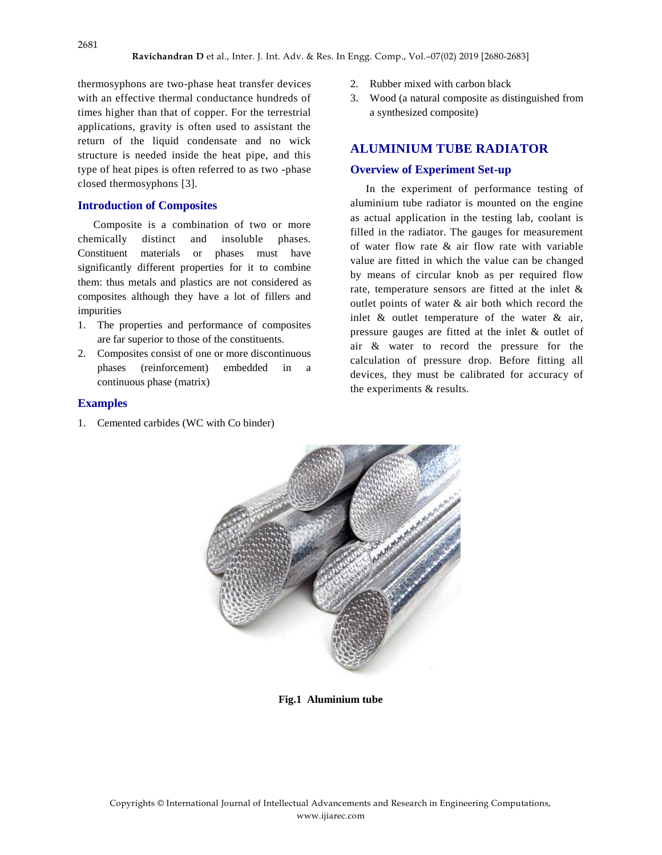thermosyphons are two-phase heat transfer devices with an effective thermal conductance hundreds of times higher than that of copper. For the terrestrial applications, gravity is often used to assistant the return of the liquid condensate and no wick structure is needed inside the heat pipe, and this type of heat pipes is often referred to as two -phase closed thermosyphons [3].

#### **Introduction of Composites**

Composite is a combination of two or more chemically distinct and insoluble phases. Constituent materials or phases must have significantly different properties for it to combine them: thus metals and plastics are not considered as composites although they have a lot of fillers and impurities

- 1. The properties and performance of composites are far superior to those of the constituents.
- 2. Composites consist of one or more discontinuous phases (reinforcement) embedded in a continuous phase (matrix)

#### **Examples**

1. Cemented carbides (WC with Co binder)

- 2. Rubber mixed with carbon black
- 3. Wood (a natural composite as distinguished from a synthesized composite)

#### **ALUMINIUM TUBE RADIATOR**

#### **Overview of Experiment Set-up**

In the experiment of performance testing of aluminium tube radiator is mounted on the engine as actual application in the testing lab, coolant is filled in the radiator. The gauges for measurement of water flow rate & air flow rate with variable value are fitted in which the value can be changed by means of circular knob as per required flow rate, temperature sensors are fitted at the inlet & outlet points of water & air both which record the inlet & outlet temperature of the water & air, pressure gauges are fitted at the inlet & outlet of air & water to record the pressure for the calculation of pressure drop. Before fitting all devices, they must be calibrated for accuracy of the experiments & results.



**Fig.1 Aluminium tube**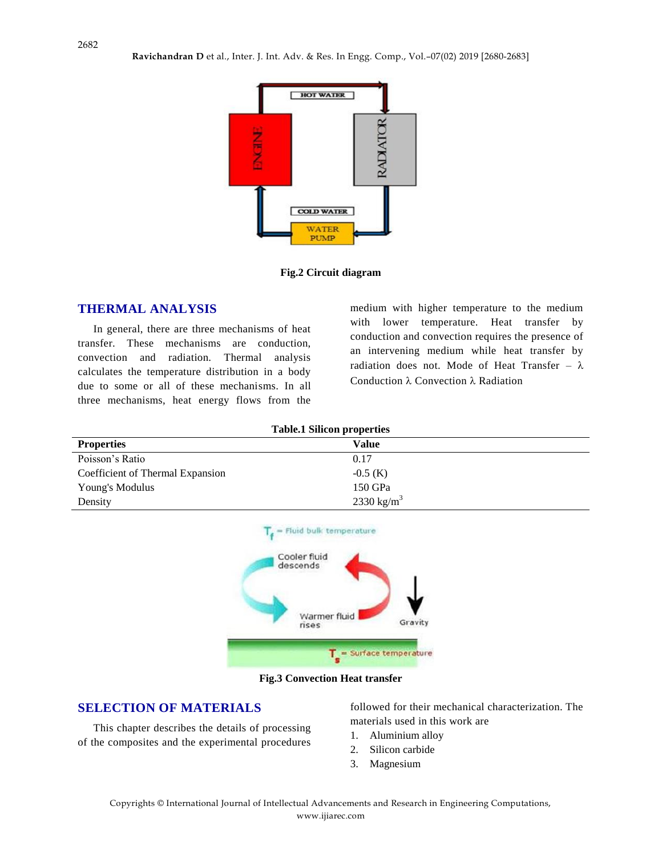

**Fig.2 Circuit diagram**

### **THERMAL ANALYSIS**

In general, there are three mechanisms of heat transfer. These mechanisms are conduction, convection and radiation. Thermal analysis calculates the temperature distribution in a body due to some or all of these mechanisms. In all three mechanisms, heat energy flows from the

medium with higher temperature to the medium with lower temperature. Heat transfer by conduction and convection requires the presence of an intervening medium while heat transfer by radiation does not. Mode of Heat Transfer –  $\lambda$ Conduction  $\lambda$  Convection  $\lambda$  Radiation

| <b>Table.1 Silicon properties</b> |                        |
|-----------------------------------|------------------------|
| <b>Properties</b>                 | Value                  |
| Poisson's Ratio                   | 0.17                   |
| Coefficient of Thermal Expansion  | $-0.5$ (K)             |
| Young's Modulus                   | 150 GPa                |
| Density                           | 2330 kg/m <sup>3</sup> |



**Fig.3 Convection Heat transfer**

## **SELECTION OF MATERIALS**

This chapter describes the details of processing of the composites and the experimental procedures followed for their mechanical characterization. The materials used in this work are

- 1. Aluminium alloy
- 2. Silicon carbide
- 3. Magnesium